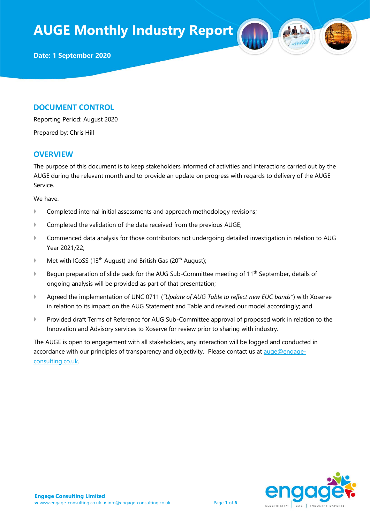**Date: 1 September 2020**

### **DOCUMENT CONTROL**

Reporting Period: August 2020

Prepared by: Chris Hill

### **OVERVIEW**

The purpose of this document is to keep stakeholders informed of activities and interactions carried out by the AUGE during the relevant month and to provide an update on progress with regards to delivery of the AUGE Service.

We have:

- **Completed internal initial assessments and approach methodology revisions;**
- Completed the validation of the data received from the previous AUGE;
- Commenced data analysis for those contributors not undergoing detailed investigation in relation to AUG Year 2021/22;
- $\blacktriangleright$  Met with ICoSS (13<sup>th</sup> August) and British Gas (20<sup>th</sup> August);
- Begun preparation of slide pack for the AUG Sub-Committee meeting of 11<sup>th</sup> September, details of ongoing analysis will be provided as part of that presentation;
- Agreed the implementation of UNC 0711 (*"Update of AUG Table to reflect new EUC bands"*) with Xoserve in relation to its impact on the AUG Statement and Table and revised our model accordingly; and
- Provided draft Terms of Reference for AUG Sub-Committee approval of proposed work in relation to the Innovation and Advisory services to Xoserve for review prior to sharing with industry.

The AUGE is open to engagement with all stakeholders, any interaction will be logged and conducted in accordance with our principles of transparency and objectivity. Please contact us at [auge@engage](mailto:auge@engage-consulting.co.uk)[consulting.co.uk.](mailto:auge@engage-consulting.co.uk) 

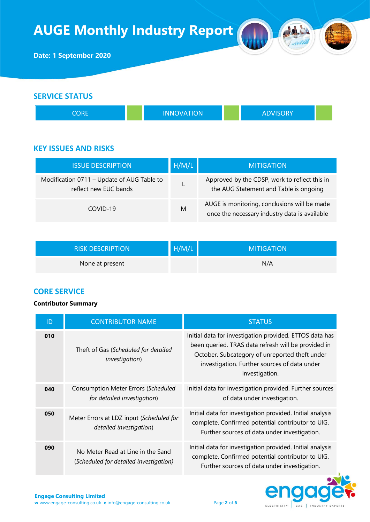

| CORE |  | <b>INNOVATION</b> |  | <b>ADVISORY</b> |  |
|------|--|-------------------|--|-----------------|--|
|------|--|-------------------|--|-----------------|--|

## **KEY ISSUES AND RISKS**

| <b>ISSUE DESCRIPTION</b>                                            | H/M/L | <b>MITIGATION</b>                                                                             |
|---------------------------------------------------------------------|-------|-----------------------------------------------------------------------------------------------|
| Modification 0711 - Update of AUG Table to<br>reflect new EUC bands |       | Approved by the CDSP, work to reflect this in<br>the AUG Statement and Table is ongoing       |
| COVID-19                                                            | M     | AUGE is monitoring, conclusions will be made<br>once the necessary industry data is available |

| <b>RISK DESCRIPTION</b> | H/M/L | <b>MITIGATION</b> |
|-------------------------|-------|-------------------|
| None at present         |       | N/A               |

## **CORE SERVICE**

### **Contributor Summary**

| ID  | <b>CONTRIBUTOR NAME</b>                                                     | <b>STATUS</b>                                                                                                                                                                                                                      |
|-----|-----------------------------------------------------------------------------|------------------------------------------------------------------------------------------------------------------------------------------------------------------------------------------------------------------------------------|
| 010 | Theft of Gas (Scheduled for detailed<br><i>investigation</i> )              | Initial data for investigation provided. ETTOS data has<br>been queried. TRAS data refresh will be provided in<br>October. Subcategory of unreported theft under<br>investigation. Further sources of data under<br>investigation. |
| 040 | Consumption Meter Errors (Scheduled<br>for detailed investigation)          | Initial data for investigation provided. Further sources<br>of data under investigation.                                                                                                                                           |
| 050 | Meter Errors at LDZ input (Scheduled for<br>detailed investigation)         | Initial data for investigation provided. Initial analysis<br>complete. Confirmed potential contributor to UIG.<br>Further sources of data under investigation.                                                                     |
| 090 | No Meter Read at Line in the Sand<br>(Scheduled for detailed investigation) | Initial data for investigation provided. Initial analysis<br>complete. Confirmed potential contributor to UIG.<br>Further sources of data under investigation.                                                                     |

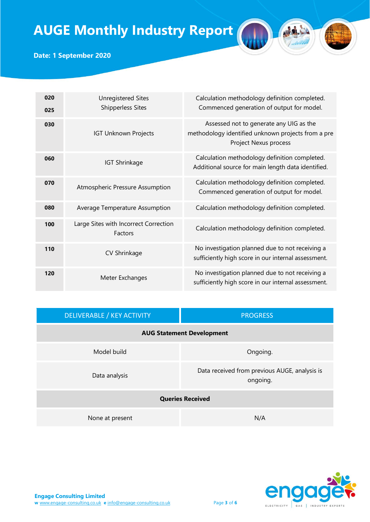

# **Date: 1 September 2020**

| 020<br>025 | <b>Unregistered Sites</b><br><b>Shipperless Sites</b> | Calculation methodology definition completed.<br>Commenced generation of output for model.                             |
|------------|-------------------------------------------------------|------------------------------------------------------------------------------------------------------------------------|
| 030        | <b>IGT Unknown Projects</b>                           | Assessed not to generate any UIG as the<br>methodology identified unknown projects from a pre<br>Project Nexus process |
| 060        | <b>IGT Shrinkage</b>                                  | Calculation methodology definition completed.<br>Additional source for main length data identified.                    |
| 070        | Atmospheric Pressure Assumption                       | Calculation methodology definition completed.<br>Commenced generation of output for model.                             |
| 080        | Average Temperature Assumption                        | Calculation methodology definition completed.                                                                          |
| 100        | Large Sites with Incorrect Correction<br>Factors      | Calculation methodology definition completed.                                                                          |
| 110        | CV Shrinkage                                          | No investigation planned due to not receiving a<br>sufficiently high score in our internal assessment.                 |
| 120        | Meter Exchanges                                       | No investigation planned due to not receiving a<br>sufficiently high score in our internal assessment.                 |

| DELIVERABLE / KEY ACTIVITY       | <b>PROGRESS</b>                                           |  |  |
|----------------------------------|-----------------------------------------------------------|--|--|
| <b>AUG Statement Development</b> |                                                           |  |  |
| Model build                      | Ongoing.                                                  |  |  |
| Data analysis                    | Data received from previous AUGE, analysis is<br>ongoing. |  |  |
| <b>Queries Received</b>          |                                                           |  |  |
| None at present                  | N/A                                                       |  |  |

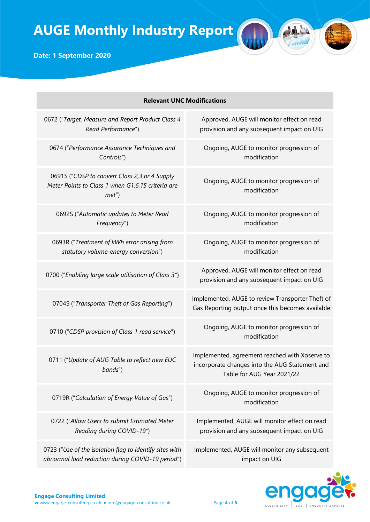**Date: 1 September 2020**

| <b>Relevant UNC Modifications</b> |                                                                                                             |                                                                                                                                |  |
|-----------------------------------|-------------------------------------------------------------------------------------------------------------|--------------------------------------------------------------------------------------------------------------------------------|--|
|                                   | 0672 ("Target, Measure and Report Product Class 4<br>Read Performance")                                     | Approved, AUGE will monitor effect on read<br>provision and any subsequent impact on UIG                                       |  |
|                                   | 0674 ("Performance Assurance Techniques and<br>Controls")                                                   | Ongoing, AUGE to monitor progression of<br>modification                                                                        |  |
|                                   | 0691S ("CDSP to convert Class 2,3 or 4 Supply<br>Meter Points to Class 1 when G1.6.15 criteria are<br>met'  | Ongoing, AUGE to monitor progression of<br>modification                                                                        |  |
|                                   | 0692S ("Automatic updates to Meter Read<br>Frequency")                                                      | Ongoing, AUGE to monitor progression of<br>modification                                                                        |  |
|                                   | 0693R ("Treatment of kWh error arising from<br>statutory volume-energy conversion")                         | Ongoing, AUGE to monitor progression of<br>modification                                                                        |  |
|                                   | 0700 ("Enabling large scale utilisation of Class 3")                                                        | Approved, AUGE will monitor effect on read<br>provision and any subsequent impact on UIG                                       |  |
|                                   | 0704S ("Transporter Theft of Gas Reporting")                                                                | Implemented, AUGE to review Transporter Theft of<br>Gas Reporting output once this becomes available                           |  |
|                                   | 0710 ("CDSP provision of Class 1 read service")                                                             | Ongoing, AUGE to monitor progression of<br>modification                                                                        |  |
|                                   | 0711 ("Update of AUG Table to reflect new EUC<br>bands")                                                    | Implemented, agreement reached with Xoserve to<br>incorporate changes into the AUG Statement and<br>Table for AUG Year 2021/22 |  |
|                                   | 0719R ("Calculation of Energy Value of Gas")                                                                | Ongoing, AUGE to monitor progression of<br>modification                                                                        |  |
|                                   | 0722 ("Allow Users to submit Estimated Meter<br>Reading during COVID-19")                                   | Implemented, AUGE will monitor effect on read<br>provision and any subsequent impact on UIG                                    |  |
|                                   | 0723 ("Use of the isolation flag to identify sites with<br>abnormal load reduction during COVID-19 period") | Implemented, AUGE will monitor any subsequent<br>impact on UIG                                                                 |  |



Ad

Anin W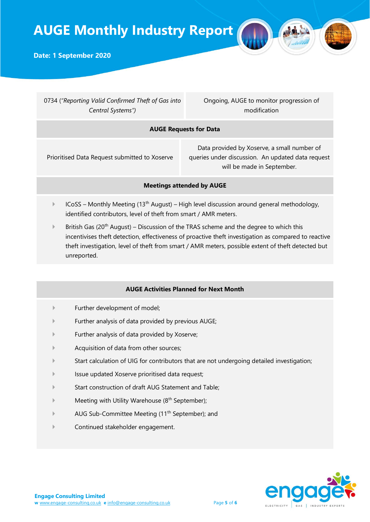

**Date: 1 September 2020**

0734 (*"Reporting Valid Confirmed Theft of Gas into Central Systems")*

Ongoing, AUGE to monitor progression of modification

### **AUGE Requests for Data**

Prioritised Data Request submitted to Xoserve

Data provided by Xoserve, a small number of queries under discussion. An updated data request will be made in September.

### **Meetings attended by AUGE**

- $ICoSS$  Monthly Meeting (13<sup>th</sup> August) High level discussion around general methodology, identified contributors, level of theft from smart / AMR meters.
- **EXECUTE:** British Gas (20<sup>th</sup> August) Discussion of the TRAS scheme and the degree to which this incentivises theft detection, effectiveness of proactive theft investigation as compared to reactive theft investigation, level of theft from smart / AMR meters, possible extent of theft detected but unreported.

#### **AUGE Activities Planned for Next Month**

- Further development of model;
- Further analysis of data provided by previous AUGE;
- Further analysis of data provided by Xoserve;
- Acquisition of data from other sources;
- Start calculation of UIG for contributors that are not undergoing detailed investigation;
- Issue updated Xoserve prioritised data request;
- Start construction of draft AUG Statement and Table;
- Meeting with Utility Warehouse (8<sup>th</sup> September);
- AUG Sub-Committee Meeting (11<sup>th</sup> September); and
- Continued stakeholder engagement.